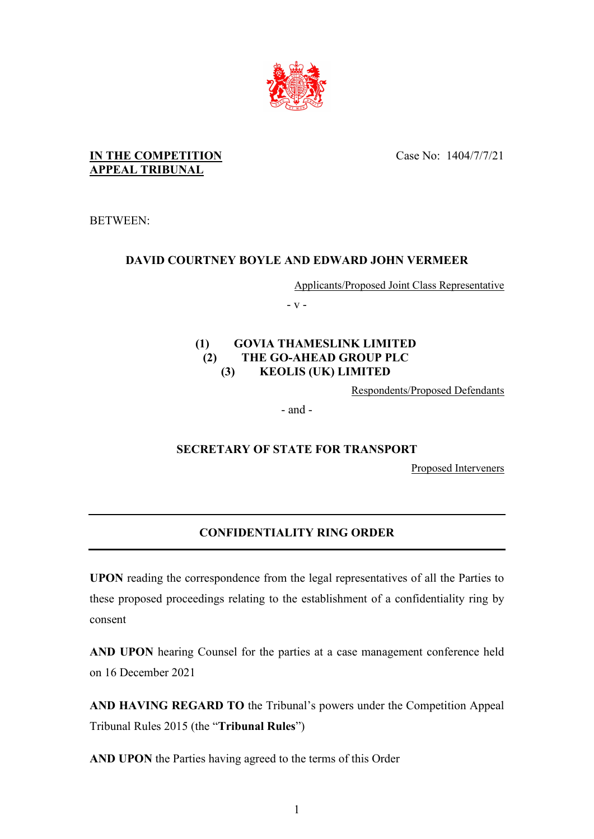

Case No: 1404/7/7/21

## **IN THE COMPETITION APPEAL TRIBUNAL**

BETWEEN:

# **DAVID COURTNEY BOYLE AND EDWARD JOHN VERMEER**

Applicants/Proposed Joint Class Representative

- v -

## **(1) GOVIA THAMESLINK LIMITED (2) THE GO-AHEAD GROUP PLC (3) KEOLIS (UK) LIMITED**

Respondents/Proposed Defendants

- and -

# **SECRETARY OF STATE FOR TRANSPORT**

Proposed Interveners

# **CONFIDENTIALITY RING ORDER**

**UPON** reading the correspondence from the legal representatives of all the Parties to these proposed proceedings relating to the establishment of a confidentiality ring by consent

**AND UPON** hearing Counsel for the parties at a case management conference held on 16 December 2021

**AND HAVING REGARD TO** the Tribunal's powers under the Competition Appeal Tribunal Rules 2015 (the "**Tribunal Rules**")

**AND UPON** the Parties having agreed to the terms of this Order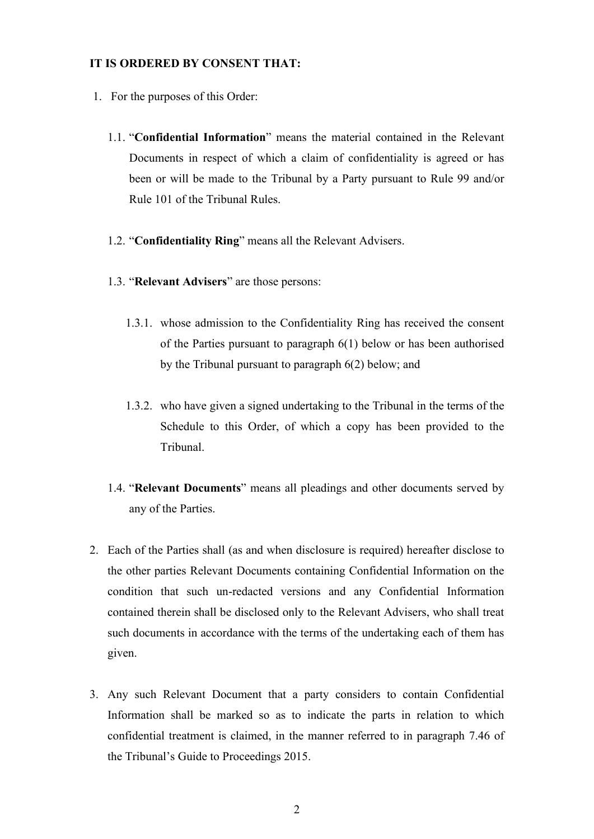#### **IT IS ORDERED BY CONSENT THAT:**

- 1. For the purposes of this Order:
	- 1.1. "**Confidential Information**" means the material contained in the Relevant Documents in respect of which a claim of confidentiality is agreed or has been or will be made to the Tribunal by a Party pursuant to Rule 99 and/or Rule 101 of the Tribunal Rules.
	- 1.2. "**Confidentiality Ring**" means all the Relevant Advisers.
	- 1.3. "**Relevant Advisers**" are those persons:
		- 1.3.1. whose admission to the Confidentiality Ring has received the consent of the Parties pursuant to paragraph 6(1) below or has been authorised by the Tribunal pursuant to paragraph 6(2) below; and
		- 1.3.2. who have given a signed undertaking to the Tribunal in the terms of the Schedule to this Order, of which a copy has been provided to the Tribunal.
	- 1.4. "**Relevant Documents**" means all pleadings and other documents served by any of the Parties.
- 2. Each of the Parties shall (as and when disclosure is required) hereafter disclose to the other parties Relevant Documents containing Confidential Information on the condition that such un-redacted versions and any Confidential Information contained therein shall be disclosed only to the Relevant Advisers, who shall treat such documents in accordance with the terms of the undertaking each of them has given.
- 3. Any such Relevant Document that a party considers to contain Confidential Information shall be marked so as to indicate the parts in relation to which confidential treatment is claimed, in the manner referred to in paragraph 7.46 of the Tribunal's Guide to Proceedings 2015.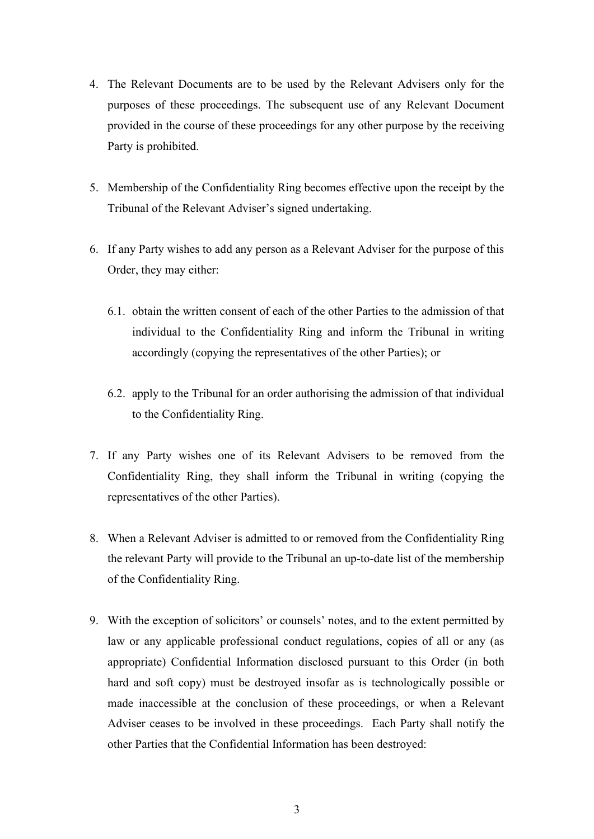- 4. The Relevant Documents are to be used by the Relevant Advisers only for the purposes of these proceedings. The subsequent use of any Relevant Document provided in the course of these proceedings for any other purpose by the receiving Party is prohibited.
- 5. Membership of the Confidentiality Ring becomes effective upon the receipt by the Tribunal of the Relevant Adviser's signed undertaking.
- 6. If any Party wishes to add any person as a Relevant Adviser for the purpose of this Order, they may either:
	- 6.1. obtain the written consent of each of the other Parties to the admission of that individual to the Confidentiality Ring and inform the Tribunal in writing accordingly (copying the representatives of the other Parties); or
	- 6.2. apply to the Tribunal for an order authorising the admission of that individual to the Confidentiality Ring.
- 7. If any Party wishes one of its Relevant Advisers to be removed from the Confidentiality Ring, they shall inform the Tribunal in writing (copying the representatives of the other Parties).
- 8. When a Relevant Adviser is admitted to or removed from the Confidentiality Ring the relevant Party will provide to the Tribunal an up-to-date list of the membership of the Confidentiality Ring.
- 9. With the exception of solicitors' or counsels' notes, and to the extent permitted by law or any applicable professional conduct regulations, copies of all or any (as appropriate) Confidential Information disclosed pursuant to this Order (in both hard and soft copy) must be destroyed insofar as is technologically possible or made inaccessible at the conclusion of these proceedings, or when a Relevant Adviser ceases to be involved in these proceedings. Each Party shall notify the other Parties that the Confidential Information has been destroyed: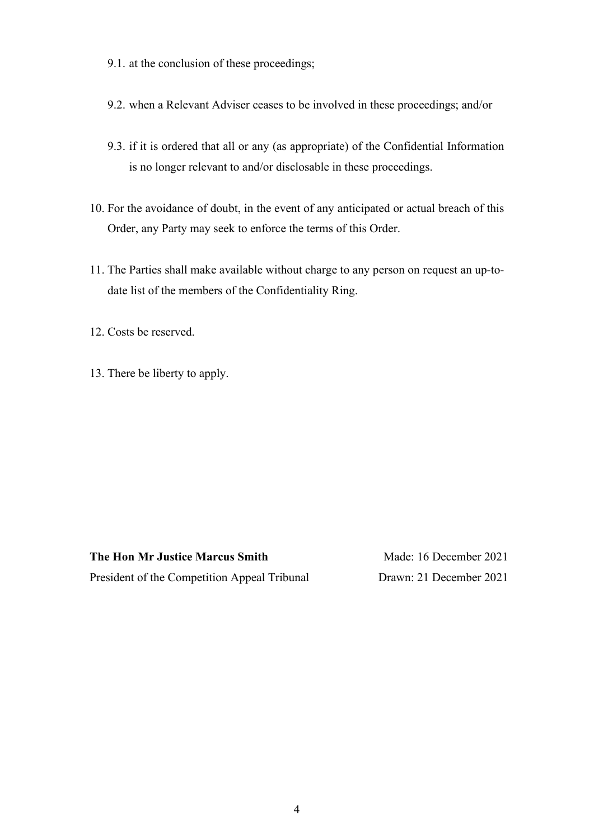9.1. at the conclusion of these proceedings;

- 9.2. when a Relevant Adviser ceases to be involved in these proceedings; and/or
- 9.3. if it is ordered that all or any (as appropriate) of the Confidential Information is no longer relevant to and/or disclosable in these proceedings.
- 10. For the avoidance of doubt, in the event of any anticipated or actual breach of this Order, any Party may seek to enforce the terms of this Order.
- 11. The Parties shall make available without charge to any person on request an up-todate list of the members of the Confidentiality Ring.

12. Costs be reserved.

13. There be liberty to apply.

**The Hon Mr Justice Marcus Smith** President of the Competition Appeal Tribunal

Made: 16 December 2021 Drawn: 21 December 2021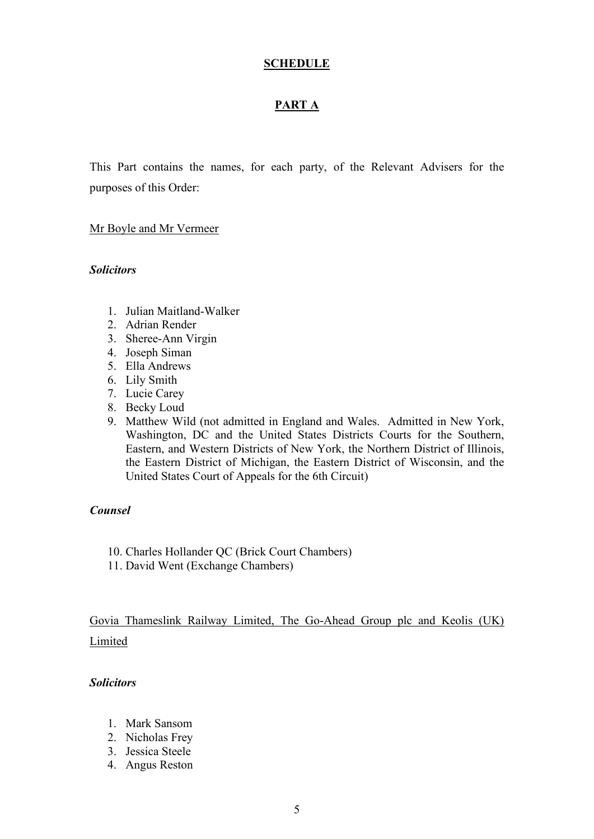### **SCHEDULE**

## **PART A**

This Part contains the names, for each party, of the Relevant Advisers for the purposes of this Order:

#### Mr Boyle and Mr Vermeer

#### *Solicitors*

- 1. Julian Maitland-Walker
- 2. Adrian Render
- 3. Sheree-Ann Virgin
- 4. Joseph Siman
- 5. Ella Andrews
- 6. Lily Smith
- 7. Lucie Carey
- 8. Becky Loud
- 9. Matthew Wild (not admitted in England and Wales. Admitted in New York, Washington, DC and the United States Districts Courts for the Southern, Eastern, and Western Districts of New York, the Northern District of Illinois, the Eastern District of Michigan, the Eastern District of Wisconsin, and the United States Court of Appeals for the 6th Circuit)

#### *Counsel*

- 10. Charles Hollander QC (Brick Court Chambers)
- 11. David Went (Exchange Chambers)

Govia Thameslink Railway Limited, The Go-Ahead Group plc and Keolis (UK) Limited

#### *Solicitors*

- 1. Mark Sansom
- 2. Nicholas Frey
- 3. Jessica Steele
- 4. Angus Reston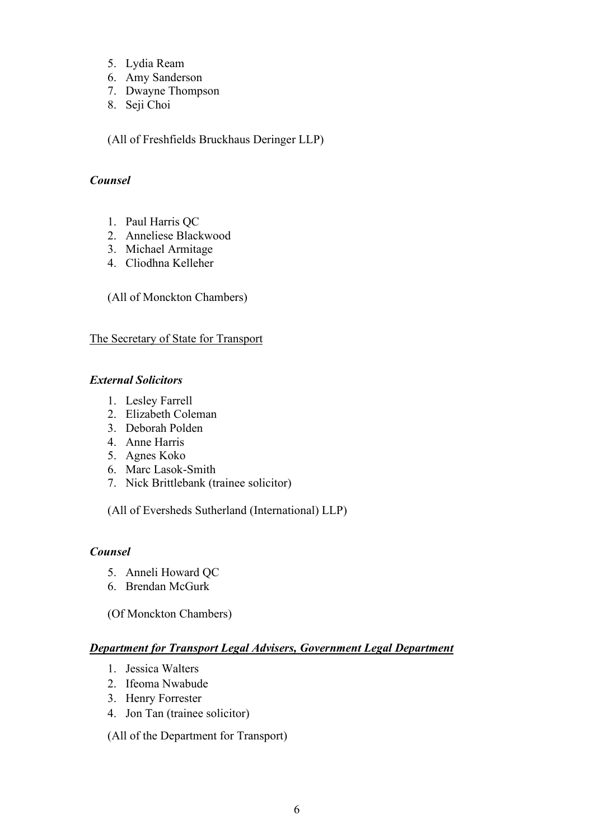- 5. Lydia Ream
- 6. Amy Sanderson
- 7. Dwayne Thompson
- 8. Seji Choi

(All of Freshfields Bruckhaus Deringer LLP)

### *Counsel*

- 1. Paul Harris QC
- 2. Anneliese Blackwood
- 3. Michael Armitage
- 4. Cliodhna Kelleher

(All of Monckton Chambers)

### The Secretary of State for Transport

### *External Solicitors*

- 1. Lesley Farrell
- 2. Elizabeth Coleman
- 3. Deborah Polden
- 4. Anne Harris
- 5. Agnes Koko
- 6. Marc Lasok-Smith
- 7. Nick Brittlebank (trainee solicitor)

(All of Eversheds Sutherland (International) LLP)

## *Counsel*

- 5. Anneli Howard QC
- 6. Brendan McGurk

(Of Monckton Chambers)

## *Department for Transport Legal Advisers, Government Legal Department*

- 1. Jessica Walters
- 2. Ifeoma Nwabude
- 3. Henry Forrester
- 4. Jon Tan (trainee solicitor)

(All of the Department for Transport)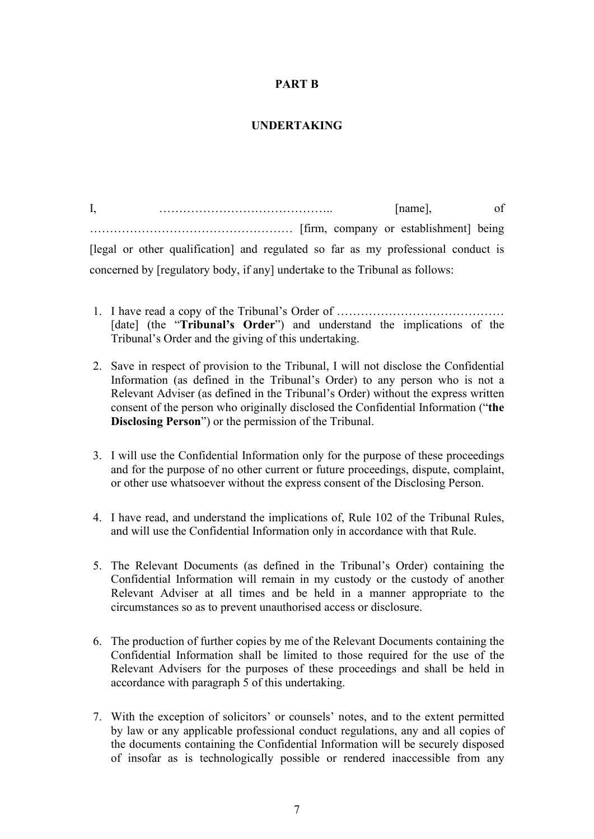## **PART B**

## **UNDERTAKING**

I, manner and the contract of the contract of the contract of the contract of the contract of the contract of the contract of the contract of the contract of the contract of the contract of the contract of the contract of …………………………………………… [firm, company or establishment] being [legal or other qualification] and regulated so far as my professional conduct is concerned by [regulatory body, if any] undertake to the Tribunal as follows:

- 1. I have read a copy of the Tribunal's Order of …………………………………… [date] (the "**Tribunal's Order**") and understand the implications of the Tribunal's Order and the giving of this undertaking.
- 2. Save in respect of provision to the Tribunal, I will not disclose the Confidential Information (as defined in the Tribunal's Order) to any person who is not a Relevant Adviser (as defined in the Tribunal's Order) without the express written consent of the person who originally disclosed the Confidential Information ("**the Disclosing Person**") or the permission of the Tribunal.
- 3. I will use the Confidential Information only for the purpose of these proceedings and for the purpose of no other current or future proceedings, dispute, complaint, or other use whatsoever without the express consent of the Disclosing Person.
- 4. I have read, and understand the implications of, Rule 102 of the Tribunal Rules, and will use the Confidential Information only in accordance with that Rule.
- 5. The Relevant Documents (as defined in the Tribunal's Order) containing the Confidential Information will remain in my custody or the custody of another Relevant Adviser at all times and be held in a manner appropriate to the circumstances so as to prevent unauthorised access or disclosure.
- 6. The production of further copies by me of the Relevant Documents containing the Confidential Information shall be limited to those required for the use of the Relevant Advisers for the purposes of these proceedings and shall be held in accordance with paragraph 5 of this undertaking.
- 7. With the exception of solicitors' or counsels' notes, and to the extent permitted by law or any applicable professional conduct regulations, any and all copies of the documents containing the Confidential Information will be securely disposed of insofar as is technologically possible or rendered inaccessible from any